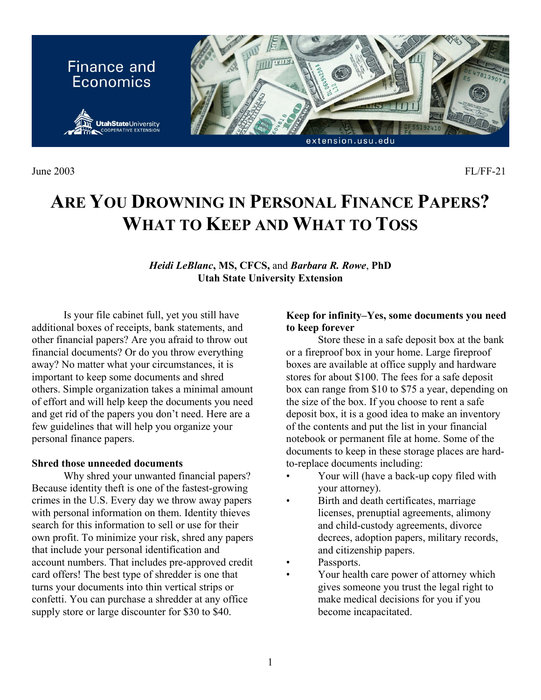

June 2003 FL/FF-21

# **ARE YOU DROWNING IN PERSONAL FINANCE PAPERS? WHAT TO KEEP AND WHAT TO TOSS**

*Heidi LeBlanc***, MS, CFCS,** and *Barbara R. Rowe*, **PhD Utah State University Extension**

Is your file cabinet full, yet you still have additional boxes of receipts, bank statements, and other financial papers? Are you afraid to throw out financial documents? Or do you throw everything away? No matter what your circumstances, it is important to keep some documents and shred others. Simple organization takes a minimal amount of effort and will help keep the documents you need and get rid of the papers you don't need. Here are a few guidelines that will help you organize your personal finance papers.

## **Shred those unneeded documents**

Why shred your unwanted financial papers? Because identity theft is one of the fastest-growing crimes in the U.S. Every day we throw away papers with personal information on them. Identity thieves search for this information to sell or use for their own profit. To minimize your risk, shred any papers that include your personal identification and account numbers. That includes pre-approved credit card offers! The best type of shredder is one that turns your documents into thin vertical strips or confetti. You can purchase a shredder at any office supply store or large discounter for \$30 to \$40.

## **Keep for infinity–Yes, some documents you need to keep forever**

Store these in a safe deposit box at the bank or a fireproof box in your home. Large fireproof boxes are available at office supply and hardware stores for about \$100. The fees for a safe deposit box can range from \$10 to \$75 a year, depending on the size of the box. If you choose to rent a safe deposit box, it is a good idea to make an inventory of the contents and put the list in your financial notebook or permanent file at home. Some of the documents to keep in these storage places are hardto-replace documents including:

- Your will (have a back-up copy filed with your attorney).
- Birth and death certificates, marriage licenses, prenuptial agreements, alimony and child-custody agreements, divorce decrees, adoption papers, military records, and citizenship papers.
- Passports.
- Your health care power of attorney which gives someone you trust the legal right to make medical decisions for you if you become incapacitated.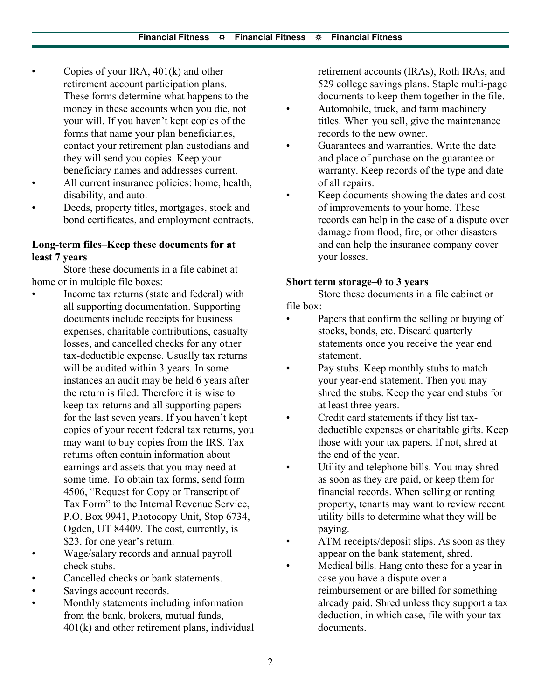- Copies of your IRA,  $401(k)$  and other retirement account participation plans. These forms determine what happens to the money in these accounts when you die, not your will. If you haven't kept copies of the forms that name your plan beneficiaries, contact your retirement plan custodians and they will send you copies. Keep your beneficiary names and addresses current.
- All current insurance policies: home, health, disability, and auto.
- Deeds, property titles, mortgages, stock and bond certificates, and employment contracts.

# **Long-term files–Keep these documents for at least 7 years**

Store these documents in a file cabinet at home or in multiple file boxes:

- Income tax returns (state and federal) with all supporting documentation. Supporting documents include receipts for business expenses, charitable contributions, casualty losses, and cancelled checks for any other tax-deductible expense. Usually tax returns will be audited within 3 years. In some instances an audit may be held 6 years after the return is filed. Therefore it is wise to keep tax returns and all supporting papers for the last seven years. If you haven't kept copies of your recent federal tax returns, you may want to buy copies from the IRS. Tax returns often contain information about earnings and assets that you may need at some time. To obtain tax forms, send form 4506, "Request for Copy or Transcript of Tax Form" to the Internal Revenue Service, P.O. Box 9941, Photocopy Unit, Stop 6734, Ogden, UT 84409. The cost, currently, is \$23. for one year's return.
- Wage/salary records and annual payroll check stubs.
- Cancelled checks or bank statements.
- Savings account records.
- Monthly statements including information from the bank, brokers, mutual funds, 401(k) and other retirement plans, individual

retirement accounts (IRAs), Roth IRAs, and 529 college savings plans. Staple multi-page documents to keep them together in the file.

- Automobile, truck, and farm machinery titles. When you sell, give the maintenance records to the new owner.
- Guarantees and warranties. Write the date and place of purchase on the guarantee or warranty. Keep records of the type and date of all repairs.
- Keep documents showing the dates and cost of improvements to your home. These records can help in the case of a dispute over damage from flood, fire, or other disasters and can help the insurance company cover your losses.

## **Short term storage–0 to 3 years**

Store these documents in a file cabinet or file box:

- Papers that confirm the selling or buying of stocks, bonds, etc. Discard quarterly statements once you receive the year end statement.
- Pay stubs. Keep monthly stubs to match your year-end statement. Then you may shred the stubs. Keep the year end stubs for at least three years.
- Credit card statements if they list taxdeductible expenses or charitable gifts. Keep those with your tax papers. If not, shred at the end of the year.
- Utility and telephone bills. You may shred as soon as they are paid, or keep them for financial records. When selling or renting property, tenants may want to review recent utility bills to determine what they will be paying.
- ATM receipts/deposit slips. As soon as they appear on the bank statement, shred.
- Medical bills. Hang onto these for a year in case you have a dispute over a reimbursement or are billed for something already paid. Shred unless they support a tax deduction, in which case, file with your tax documents.